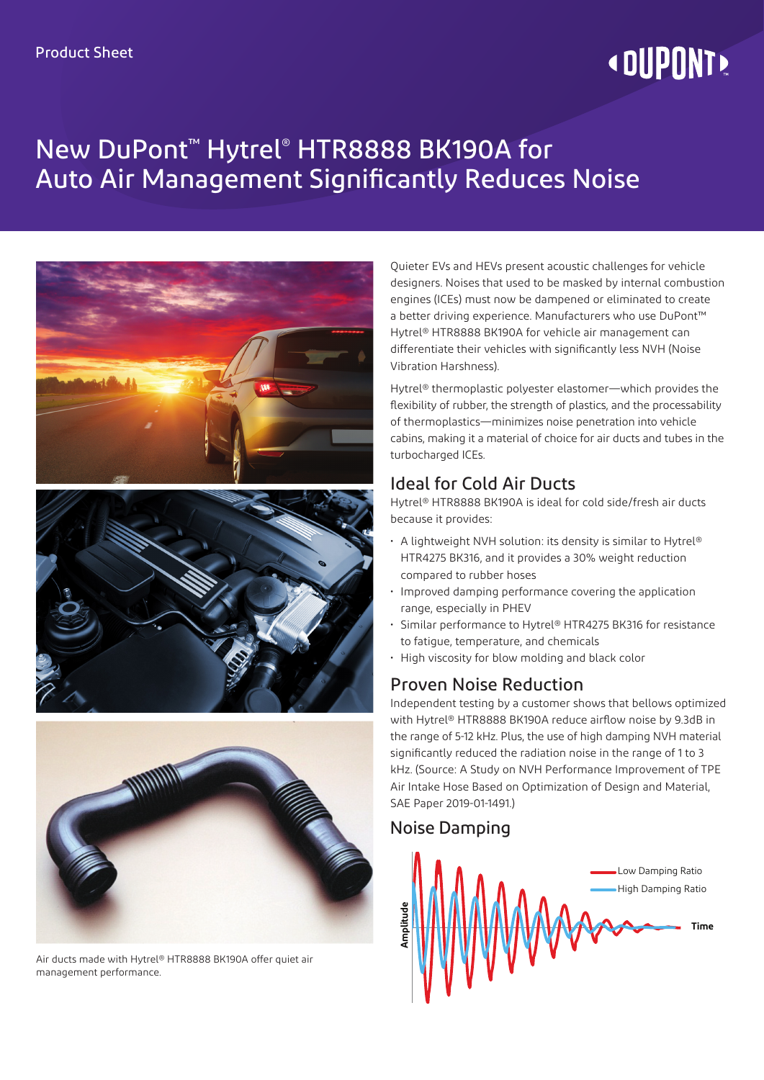# **« DUPONT!**

# New DuPont™ Hytrel® HTR8888 BK190A for Auto Air Management Significantly Reduces Noise







Air ducts made with Hytrel® HTR8888 BK190A offer quiet air management performance.

Quieter EVs and HEVs present acoustic challenges for vehicle designers. Noises that used to be masked by internal combustion engines (ICEs) must now be dampened or eliminated to create a better driving experience. Manufacturers who use DuPont™ Hytrel® HTR8888 BK190A for vehicle air management can differentiate their vehicles with significantly less NVH (Noise Vibration Harshness).

Hytrel® thermoplastic polyester elastomer—which provides the flexibility of rubber, the strength of plastics, and the processability of thermoplastics—minimizes noise penetration into vehicle cabins, making it a material of choice for air ducts and tubes in the turbocharged ICEs.

#### Ideal for Cold Air Ducts

Hytrel® HTR8888 BK190A is ideal for cold side/fresh air ducts because it provides:

- A lightweight NVH solution: its density is similar to Hytrel® HTR4275 BK316, and it provides a 30% weight reduction compared to rubber hoses
- Improved damping performance covering the application range, especially in PHEV
- Similar performance to Hytrel® HTR4275 BK316 for resistance to fatigue, temperature, and chemicals
- High viscosity for blow molding and black color

### Proven Noise Reduction

Independent testing by a customer shows that bellows optimized with Hytrel® HTR8888 BK190A reduce airflow noise by 9.3dB in the range of 5-12 kHz. Plus, the use of high damping NVH material significantly reduced the radiation noise in the range of 1 to 3 kHz. (Source: A Study on NVH Performance Improvement of TPE Air Intake Hose Based on Optimization of Design and Material, SAE Paper 2019-01-1491.)

### Noise Damping